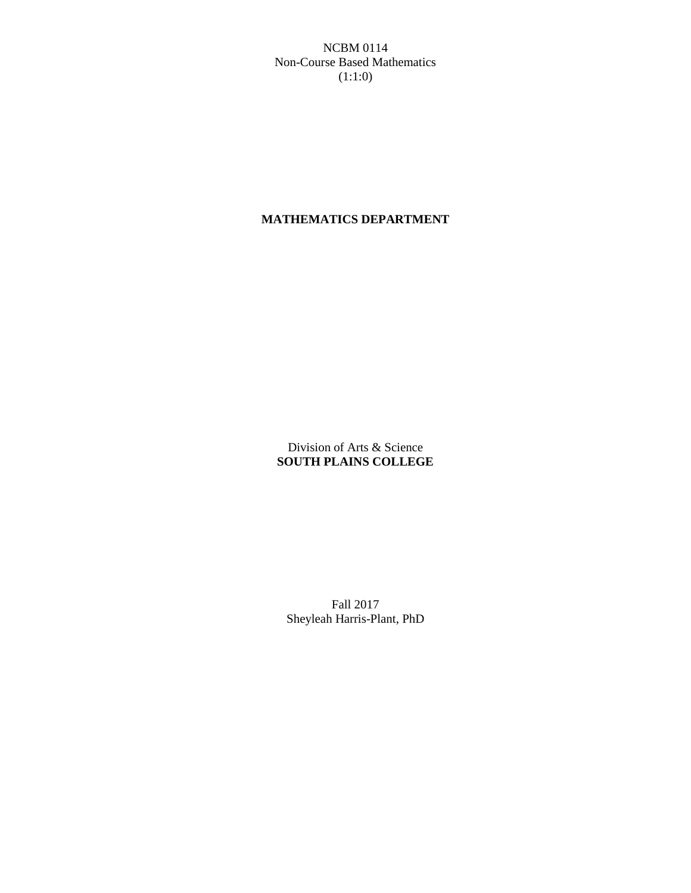NCBM 0114 Non-Course Based Mathematics (1:1:0)

# **MATHEMATICS DEPARTMENT**

Division of Arts & Science **SOUTH PLAINS COLLEGE**

Fall 2017 Sheyleah Harris-Plant, PhD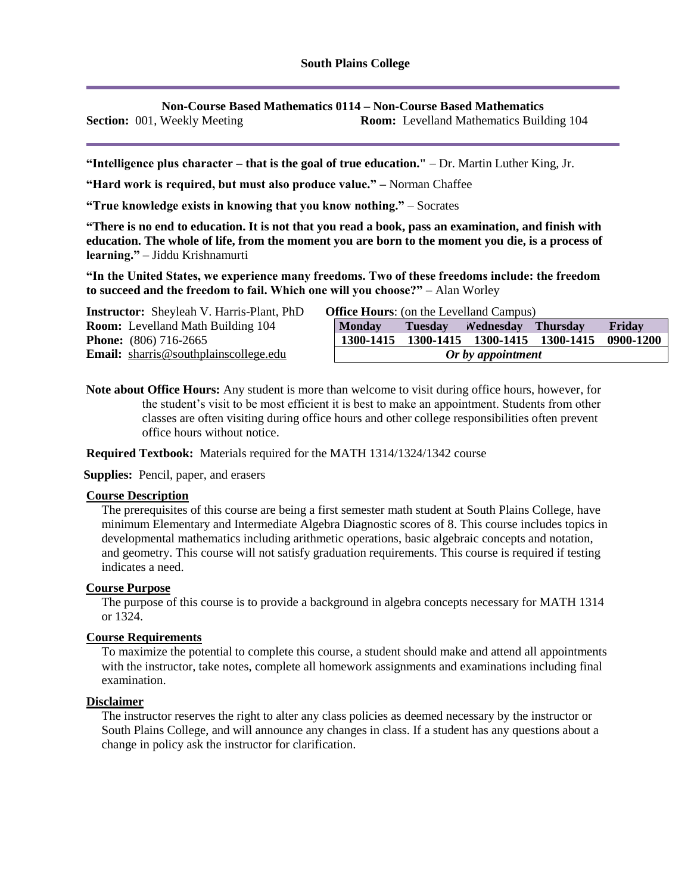**Non-Course Based Mathematics 0114 – Non-Course Based Mathematics**

**Section:** 001, Weekly Meeting **Room:** Levelland Mathematics Building 104

**"Intelligence plus character – that is the goal of true education."** – Dr. Martin Luther King, Jr.

**"Hard work is required, but must also produce value." –** Norman Chaffee

**"True knowledge exists in knowing that you know nothing."** – Socrates

**"There is no end to education. It is not that you read a book, pass an examination, and finish with education. The whole of life, from the moment you are born to the moment you die, is a process of learning."** – Jiddu Krishnamurti

**"In the United States, we experience many freedoms. Two of these freedoms include: the freedom to succeed and the freedom to fail. Which one will you choose?"** – Alan Worley

| <b>Instructor:</b> Sheyleah V. Harris-Plant, PhD | <b>Office Hours:</b> (on the Levelland Campus) |                |                           |                                                   |        |
|--------------------------------------------------|------------------------------------------------|----------------|---------------------------|---------------------------------------------------|--------|
| <b>Room:</b> Levelland Math Building 104         | <b>Monday</b>                                  | <b>Tuesday</b> | <b>Nednesday</b> Thursday |                                                   | Friday |
| <b>Phone:</b> $(806)$ 716-2665                   |                                                |                |                           | 1300-1415 1300-1415 1300-1415 1300-1415 0900-1200 |        |
| <b>Email:</b> sharris@southplainscollege.edu     | Or by appointment                              |                |                           |                                                   |        |

**Note about Office Hours:** Any student is more than welcome to visit during office hours, however, for the student's visit to be most efficient it is best to make an appointment. Students from other classes are often visiting during office hours and other college responsibilities often prevent office hours without notice.

**Required Textbook:** Materials required for the MATH 1314/1324/1342 course

**Supplies:** Pencil, paper, and erasers

### **Course Description**

The prerequisites of this course are being a first semester math student at South Plains College, have minimum Elementary and Intermediate Algebra Diagnostic scores of 8. This course includes topics in developmental mathematics including arithmetic operations, basic algebraic concepts and notation, and geometry. This course will not satisfy graduation requirements. This course is required if testing indicates a need.

#### **Course Purpose**

The purpose of this course is to provide a background in algebra concepts necessary for MATH 1314 or 1324.

#### **Course Requirements**

To maximize the potential to complete this course, a student should make and attend all appointments with the instructor, take notes, complete all homework assignments and examinations including final examination.

#### **Disclaimer**

The instructor reserves the right to alter any class policies as deemed necessary by the instructor or South Plains College, and will announce any changes in class. If a student has any questions about a change in policy ask the instructor for clarification.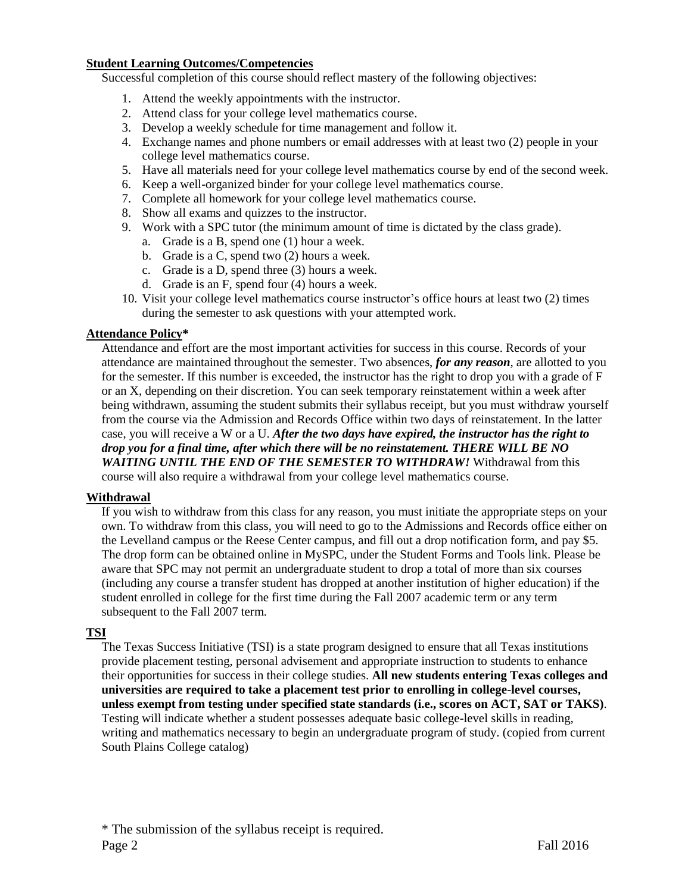## **Student Learning Outcomes/Competencies**

Successful completion of this course should reflect mastery of the following objectives:

- 1. Attend the weekly appointments with the instructor.
- 2. Attend class for your college level mathematics course.
- 3. Develop a weekly schedule for time management and follow it.
- 4. Exchange names and phone numbers or email addresses with at least two (2) people in your college level mathematics course.
- 5. Have all materials need for your college level mathematics course by end of the second week.
- 6. Keep a well-organized binder for your college level mathematics course.
- 7. Complete all homework for your college level mathematics course.
- 8. Show all exams and quizzes to the instructor.
- 9. Work with a SPC tutor (the minimum amount of time is dictated by the class grade).
	- a. Grade is a B, spend one (1) hour a week.
	- b. Grade is a C, spend two (2) hours a week.
	- c. Grade is a D, spend three (3) hours a week.
	- d. Grade is an F, spend four (4) hours a week.
- 10. Visit your college level mathematics course instructor's office hours at least two (2) times during the semester to ask questions with your attempted work.

### **Attendance Policy\***

Attendance and effort are the most important activities for success in this course. Records of your attendance are maintained throughout the semester. Two absences, *for any reason*, are allotted to you for the semester. If this number is exceeded, the instructor has the right to drop you with a grade of F or an X, depending on their discretion. You can seek temporary reinstatement within a week after being withdrawn, assuming the student submits their syllabus receipt, but you must withdraw yourself from the course via the Admission and Records Office within two days of reinstatement. In the latter case, you will receive a W or a U. *After the two days have expired, the instructor has the right to drop you for a final time, after which there will be no reinstatement. THERE WILL BE NO WAITING UNTIL THE END OF THE SEMESTER TO WITHDRAW!* Withdrawal from this course will also require a withdrawal from your college level mathematics course.

### **Withdrawal**

If you wish to withdraw from this class for any reason, you must initiate the appropriate steps on your own. To withdraw from this class, you will need to go to the Admissions and Records office either on the Levelland campus or the Reese Center campus, and fill out a drop notification form, and pay \$5. The drop form can be obtained online in MySPC, under the Student Forms and Tools link. Please be aware that SPC may not permit an undergraduate student to drop a total of more than six courses (including any course a transfer student has dropped at another institution of higher education) if the student enrolled in college for the first time during the Fall 2007 academic term or any term subsequent to the Fall 2007 term.

### **TSI**

The Texas Success Initiative (TSI) is a state program designed to ensure that all Texas institutions provide placement testing, personal advisement and appropriate instruction to students to enhance their opportunities for success in their college studies. **All new students entering Texas colleges and universities are required to take a placement test prior to enrolling in college-level courses, unless exempt from testing under specified state standards (i.e., scores on ACT, SAT or TAKS)**. Testing will indicate whether a student possesses adequate basic college-level skills in reading, writing and mathematics necessary to begin an undergraduate program of study. (copied from current South Plains College catalog)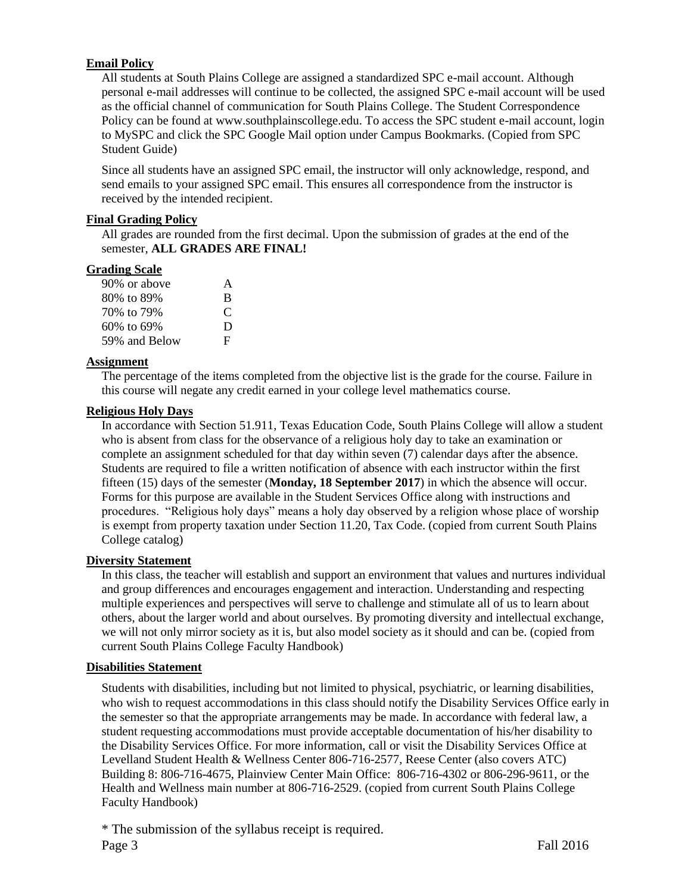## **Email Policy**

All students at South Plains College are assigned a standardized SPC e-mail account. Although personal e-mail addresses will continue to be collected, the assigned SPC e-mail account will be used as the official channel of communication for South Plains College. The Student Correspondence Policy can be found at www.southplainscollege.edu. To access the SPC student e-mail account, login to MySPC and click the SPC Google Mail option under Campus Bookmarks. (Copied from SPC Student Guide)

Since all students have an assigned SPC email, the instructor will only acknowledge, respond, and send emails to your assigned SPC email. This ensures all correspondence from the instructor is received by the intended recipient.

## **Final Grading Policy**

All grades are rounded from the first decimal. Upon the submission of grades at the end of the semester, **ALL GRADES ARE FINAL!**

### **Grading Scale**

| 90% or above  | A             |
|---------------|---------------|
| 80% to 89%    | B             |
| 70% to 79%    | $\mathcal{C}$ |
| 60% to 69%    | D             |
| 59% and Below | E             |

### **Assignment**

The percentage of the items completed from the objective list is the grade for the course. Failure in this course will negate any credit earned in your college level mathematics course.

### **Religious Holy Days**

In accordance with Section 51.911, Texas Education Code, South Plains College will allow a student who is absent from class for the observance of a religious holy day to take an examination or complete an assignment scheduled for that day within seven (7) calendar days after the absence. Students are required to file a written notification of absence with each instructor within the first fifteen (15) days of the semester (**Monday, 18 September 2017**) in which the absence will occur. Forms for this purpose are available in the Student Services Office along with instructions and procedures. "Religious holy days" means a holy day observed by a religion whose place of worship is exempt from property taxation under Section 11.20, Tax Code. (copied from current South Plains College catalog)

## **Diversity Statement**

In this class, the teacher will establish and support an environment that values and nurtures individual and group differences and encourages engagement and interaction. Understanding and respecting multiple experiences and perspectives will serve to challenge and stimulate all of us to learn about others, about the larger world and about ourselves. By promoting diversity and intellectual exchange, we will not only mirror society as it is, but also model society as it should and can be. (copied from current South Plains College Faculty Handbook)

#### **Disabilities Statement**

Students with disabilities, including but not limited to physical, psychiatric, or learning disabilities, who wish to request accommodations in this class should notify the Disability Services Office early in the semester so that the appropriate arrangements may be made. In accordance with federal law, a student requesting accommodations must provide acceptable documentation of his/her disability to the Disability Services Office. For more information, call or visit the Disability Services Office at Levelland Student Health & Wellness Center 806-716-2577, Reese Center (also covers ATC) Building 8: 806-716-4675, Plainview Center Main Office: 806-716-4302 or 806-296-9611, or the Health and Wellness main number at 806-716-2529. (copied from current South Plains College Faculty Handbook)

\* The submission of the syllabus receipt is required. Page 3 Fall 2016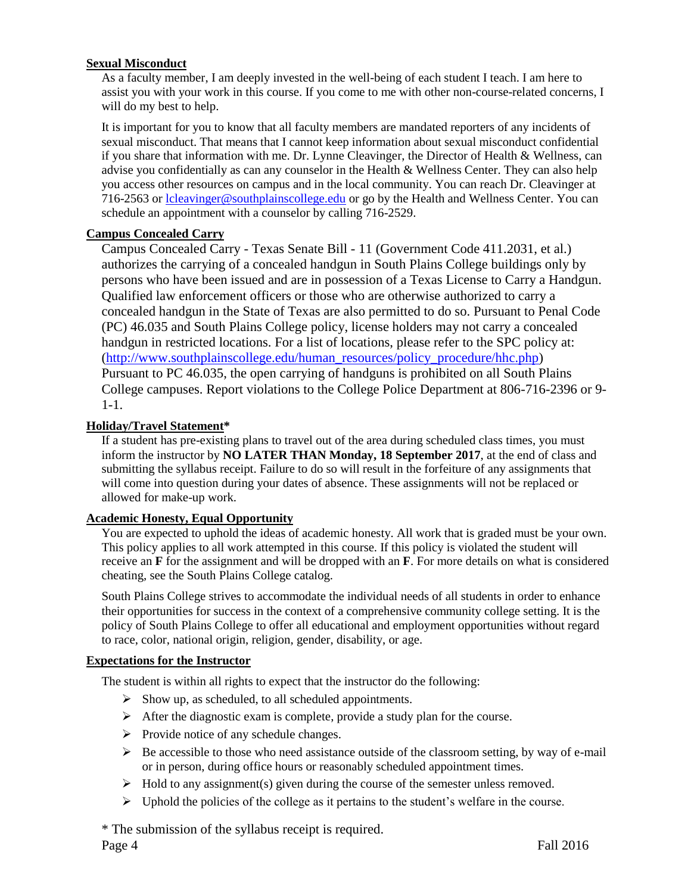## **Sexual Misconduct**

As a faculty member, I am deeply invested in the well-being of each student I teach. I am here to assist you with your work in this course. If you come to me with other non-course-related concerns, I will do my best to help.

It is important for you to know that all faculty members are mandated reporters of any incidents of sexual misconduct. That means that I cannot keep information about sexual misconduct confidential if you share that information with me. Dr. Lynne Cleavinger, the Director of Health & Wellness, can advise you confidentially as can any counselor in the Health & Wellness Center. They can also help you access other resources on campus and in the local community. You can reach Dr. Cleavinger at 716-2563 or [lcleavinger@southplainscollege.edu](mailto:lcleavinger@southplainscollege.edu) or go by the Health and Wellness Center. You can schedule an appointment with a counselor by calling 716-2529.

## **Campus Concealed Carry**

Campus Concealed Carry - Texas Senate Bill - 11 (Government Code 411.2031, et al.) authorizes the carrying of a concealed handgun in South Plains College buildings only by persons who have been issued and are in possession of a Texas License to Carry a Handgun. Qualified law enforcement officers or those who are otherwise authorized to carry a concealed handgun in the State of Texas are also permitted to do so. Pursuant to Penal Code (PC) 46.035 and South Plains College policy, license holders may not carry a concealed handgun in restricted locations. For a list of locations, please refer to the SPC policy at: [\(http://www.southplainscollege.edu/human\\_resources/policy\\_procedure/hhc.php\)](http://www.southplainscollege.edu/human_resources/policy_procedure/hhc.php) Pursuant to PC 46.035, the open carrying of handguns is prohibited on all South Plains College campuses. Report violations to the College Police Department at 806-716-2396 or 9- 1-1.

## **Holiday/Travel Statement\***

If a student has pre-existing plans to travel out of the area during scheduled class times, you must inform the instructor by **NO LATER THAN Monday, 18 September 2017**, at the end of class and submitting the syllabus receipt. Failure to do so will result in the forfeiture of any assignments that will come into question during your dates of absence. These assignments will not be replaced or allowed for make-up work.

## **Academic Honesty, Equal Opportunity**

You are expected to uphold the ideas of academic honesty. All work that is graded must be your own. This policy applies to all work attempted in this course. If this policy is violated the student will receive an **F** for the assignment and will be dropped with an **F**. For more details on what is considered cheating, see the South Plains College catalog.

South Plains College strives to accommodate the individual needs of all students in order to enhance their opportunities for success in the context of a comprehensive community college setting. It is the policy of South Plains College to offer all educational and employment opportunities without regard to race, color, national origin, religion, gender, disability, or age.

## **Expectations for the Instructor**

The student is within all rights to expect that the instructor do the following:

- $\triangleright$  Show up, as scheduled, to all scheduled appointments.
- $\triangleright$  After the diagnostic exam is complete, provide a study plan for the course.
- ➢ Provide notice of any schedule changes.
- $\triangleright$  Be accessible to those who need assistance outside of the classroom setting, by way of e-mail or in person, during office hours or reasonably scheduled appointment times.
- $\triangleright$  Hold to any assignment(s) given during the course of the semester unless removed.
- $\triangleright$  Uphold the policies of the college as it pertains to the student's welfare in the course.

\* The submission of the syllabus receipt is required.